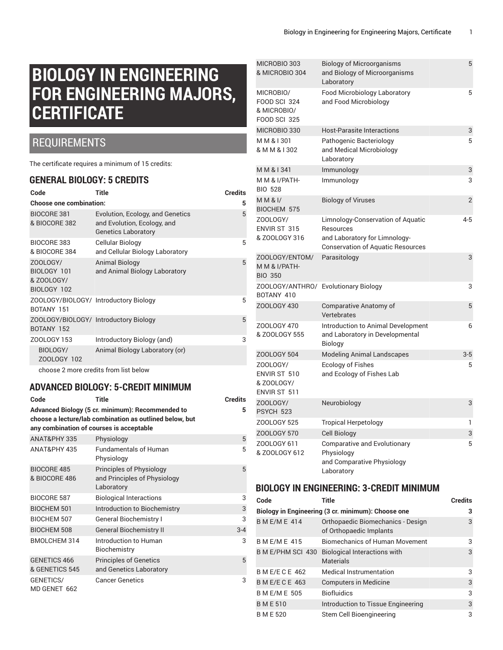# **BIOLOGY IN ENGINEERING FOR ENGINEERING MAJORS, CERTIFICATE**

### REQUIREMENTS

The certificate requires a minimum of 15 credits:

#### **GENERAL BIOLOGY: 5 CREDITS**

| Code                                                 | Title                                                                                         | <b>Credits</b> |
|------------------------------------------------------|-----------------------------------------------------------------------------------------------|----------------|
| <b>Choose one combination:</b>                       |                                                                                               | 5              |
| <b>BIOCORE 381</b><br>& BIOCORE 382                  | Evolution, Ecology, and Genetics<br>and Evolution, Ecology, and<br><b>Genetics Laboratory</b> | 5              |
| BIOCORE 383<br>& BIOCORE 384                         | Cellular Biology<br>and Cellular Biology Laboratory                                           | 5              |
| ZOOLOGY/<br>BIOLOGY 101<br>& ZOOLOGY/<br>BIOLOGY 102 | <b>Animal Biology</b><br>and Animal Biology Laboratory                                        | 5              |
| ZOOLOGY/BIOLOGY/ Introductory Biology<br>BOTANY 151  |                                                                                               | 5              |
| ZOOLOGY/BIOLOGY/ Introductory Biology<br>BOTANY 152  |                                                                                               | 5              |
| ZOOLOGY 153                                          | Introductory Biology (and)                                                                    | 3              |
| BIOLOGY/<br>ZOOLOGY 102                              | Animal Biology Laboratory (or)                                                                |                |
|                                                      | choose 2 more credits from list below                                                         |                |

#### **ADVANCED BIOLOGY: 5-CREDIT MINIMUM**

| Code                                     | <b>Title</b>                                                                                                | <b>Credits</b> |
|------------------------------------------|-------------------------------------------------------------------------------------------------------------|----------------|
| any combination of courses is acceptable | Advanced Biology (5 cr. minimum): Recommended to<br>choose a lecture/lab combination as outlined below, but | 5              |
| ANAT&PHY 335                             | Physiology                                                                                                  | 5              |
| <b>ANAT&amp;PHY 435</b>                  | <b>Fundamentals of Human</b><br>Physiology                                                                  | 5              |
| <b>BIOCORE 485</b><br>& BIOCORE 486      | Principles of Physiology<br>and Principles of Physiology<br>Laboratory                                      | 5              |
| BIOCORE 587                              | <b>Biological Interactions</b>                                                                              | 3              |
| <b>BIOCHEM 501</b>                       | Introduction to Biochemistry                                                                                | 3              |
| <b>BIOCHEM 507</b>                       | <b>General Biochemistry I</b>                                                                               | 3              |
| <b>BIOCHEM 508</b>                       | <b>General Biochemistry II</b>                                                                              | $3 - 4$        |
| <b>BMOLCHEM 314</b>                      | Introduction to Human<br>Biochemistry                                                                       | 3              |
| GENETICS 466<br>& GENETICS 545           | <b>Principles of Genetics</b><br>and Genetics Laboratory                                                    | 5              |
| GENETICS/<br>MD GENET 662                | <b>Cancer Genetics</b>                                                                                      | 3              |

| MICROBIO 303<br>& MICROBIO 304                                         | <b>Biology of Microorganisms</b><br>and Biology of Microorganisms<br>Laboratory                                             | 5     |
|------------------------------------------------------------------------|-----------------------------------------------------------------------------------------------------------------------------|-------|
| MICROBIO/<br><b>FOOD SCI 324</b><br>& MICROBIO/<br><b>FOOD SCI 325</b> | Food Microbiology Laboratory<br>and Food Microbiology                                                                       | 5     |
| MICROBIO 330                                                           | <b>Host-Parasite Interactions</b>                                                                                           | 3     |
| MM & 1301<br>& M M & I 302                                             | Pathogenic Bacteriology<br>and Medical Microbiology<br>Laboratory                                                           | 5     |
| M M & I 341                                                            | Immunology                                                                                                                  | 3     |
| M M & I/PATH-<br><b>BIO 528</b>                                        | Immunology                                                                                                                  | 3     |
| $M$ $M$ & $I$<br>BIOCHEM 575                                           | <b>Biology of Viruses</b>                                                                                                   | 2     |
| ZOOLOGY/<br>ENVIR ST 315<br>& ZOOLOGY 316                              | Limnology-Conservation of Aquatic<br>Resources<br>and Laboratory for Limnology-<br><b>Conservation of Aquatic Resources</b> | 4-5   |
| ZOOLOGY/ENTOM/<br>M M & I/PATH-<br><b>BIO 350</b>                      | Parasitology                                                                                                                | 3     |
| BOTANY 410                                                             | ZOOLOGY/ANTHRO/ Evolutionary Biology                                                                                        | 3     |
| ZOOLOGY 430                                                            | Comparative Anatomy of<br>Vertebrates                                                                                       | 5     |
| ZOOLOGY 470<br>& ZOOLOGY 555                                           | Introduction to Animal Development<br>and Laboratory in Developmental<br><b>Biology</b>                                     | 6     |
| ZOOLOGY 504                                                            | <b>Modeling Animal Landscapes</b>                                                                                           | $3-5$ |
| ZOOLOGY/<br>ENVIR ST 510<br>& ZOOLOGY/<br>ENVIR ST 511                 | <b>Ecology of Fishes</b><br>and Ecology of Fishes Lab                                                                       | 5     |
| ZOOLOGY/<br>PSYCH 523                                                  | Neurobiology                                                                                                                | 3     |
| ZOOLOGY 525                                                            | <b>Tropical Herpetology</b>                                                                                                 | 1     |
| <b>ZOOLOGY 570</b>                                                     | Cell Biology                                                                                                                | 3     |
| ZOOLOGY 611<br>& ZOOLOGY 612                                           | <b>Comparative and Evolutionary</b><br>Physiology<br>and Comparative Physiology                                             | 5     |

#### **BIOLOGY IN ENGINEERING: 3-CREDIT MINIMUM**

Laboratory

| Code                                               | Title                                                        | <b>Credits</b> |
|----------------------------------------------------|--------------------------------------------------------------|----------------|
| Biology in Engineering (3 cr. minimum): Choose one | 3                                                            |                |
| <b>BME/ME 414</b>                                  | Orthopaedic Biomechanics - Design<br>of Orthopaedic Implants | 3              |
| <b>BME/ME 415</b>                                  | <b>Biomechanics of Human Movement</b>                        | 3              |
| B M E/PHM SCI 430                                  | <b>Biological Interactions with</b><br><b>Materials</b>      | 3              |
| <b>B M E/E C E 462</b>                             | <b>Medical Instrumentation</b>                               | 3              |
| <b>B M E/E C E 463</b>                             | <b>Computers in Medicine</b>                                 | 3              |
| <b>B M E/M E 505</b>                               | <b>Biofluidics</b>                                           | 3              |
| <b>BME510</b>                                      | Introduction to Tissue Engineering                           | 3              |
| <b>BME520</b>                                      | Stem Cell Bioengineering                                     | 3              |